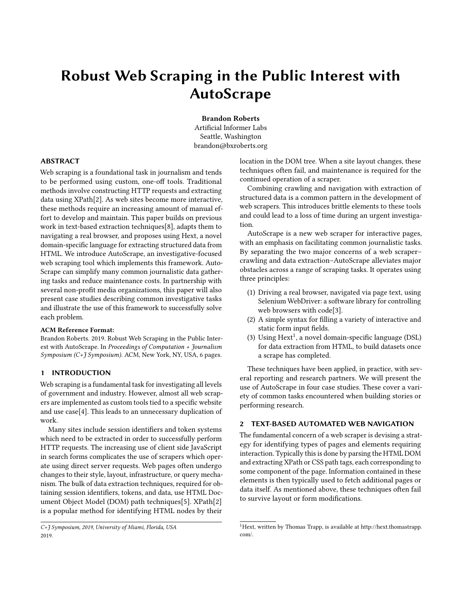# Robust Web Scraping in the Public Interest with AutoScrape

Brandon Roberts Artificial Informer Labs Seattle, Washington brandon@bxroberts.org

### ABSTRACT

Web scraping is a foundational task in journalism and tends to be performed using custom, one-off tools. Traditional methods involve constructing HTTP requests and extracting data using XPath[\[2\]](#page-4-0). As web sites become more interactive, these methods require an increasing amount of manual effort to develop and maintain. This paper builds on previous work in text-based extraction techniques[\[8\]](#page-5-0), adapts them to navigating a real browser, and proposes using Hext, a novel domain-specific language for extracting structured data from HTML. We introduce AutoScrape, an investigative-focused web scraping tool which implements this framework. Auto-Scrape can simplify many common journalistic data gathering tasks and reduce maintenance costs. In partnership with several non-profit media organizations, this paper will also present case studies describing common investigative tasks and illustrate the use of this framework to successfully solve each problem.

#### ACM Reference Format:

Brandon Roberts. 2019. Robust Web Scraping in the Public Interest with AutoScrape. In Proceedings of Computation + Journalism Symposium (C+J Symposium). ACM, New York, NY, USA, [6](#page-5-1) pages.

# 1 INTRODUCTION

Web scraping is a fundamental task for investigating all levels of government and industry. However, almost all web scrapers are implemented as custom tools tied to a specific website and use case[\[4\]](#page-4-1). This leads to an unnecessary duplication of work.

Many sites include session identifiers and token systems which need to be extracted in order to successfully perform HTTP requests. The increasing use of client side JavaScript in search forms complicates the use of scrapers which operate using direct server requests. Web pages often undergo changes to their style, layout, infrastructure, or query mechanism. The bulk of data extraction techniques, required for obtaining session identifiers, tokens, and data, use HTML Document Object Model (DOM) path techniques[\[5\]](#page-5-2). XPath[\[2\]](#page-4-0) is a popular method for identifying HTML nodes by their

location in the DOM tree. When a site layout changes, these techniques often fail, and maintenance is required for the continued operation of a scraper.

Combining crawling and navigation with extraction of structured data is a common pattern in the development of web scrapers. This introduces brittle elements to these tools and could lead to a loss of time during an urgent investigation.

AutoScrape is a new web scraper for interactive pages, with an emphasis on facilitating common journalistic tasks. By separating the two major concerns of a web scraper– crawling and data extraction–AutoScrape alleviates major obstacles across a range of scraping tasks. It operates using three principles:

- (1) Driving a real browser, navigated via page text, using Selenium WebDriver: a software library for controlling web browsers with code[\[3\]](#page-4-2).
- (2) A simple syntax for filling a variety of interactive and static form input fields.
- (3) Using Hext<sup>[1](#page-0-0)</sup>, a novel domain-specific language (DSL) for data extraction from HTML, to build datasets once a scrape has completed.

These techniques have been applied, in practice, with several reporting and research partners. We will present the use of AutoScrape in four case studies. These cover a variety of common tasks encountered when building stories or performing research.

# 2 TEXT-BASED AUTOMATED WEB NAVIGATION

The fundamental concern of a web scraper is devising a strategy for identifying types of pages and elements requiring interaction. Typically this is done by parsing the HTML DOM and extracting XPath or CSS path tags, each corresponding to some component of the page. Information contained in these elements is then typically used to fetch additional pages or data itself. As mentioned above, these techniques often fail to survive layout or form modifications.

C+J Symposium, 2019, University of Miami, Florida, USA 2019.

<span id="page-0-0"></span><sup>&</sup>lt;sup>1</sup>Hext, written by Thomas Trapp, is available at [http://hext.thomastrapp.](http://hext.thomastrapp.com/) [com/.](http://hext.thomastrapp.com/)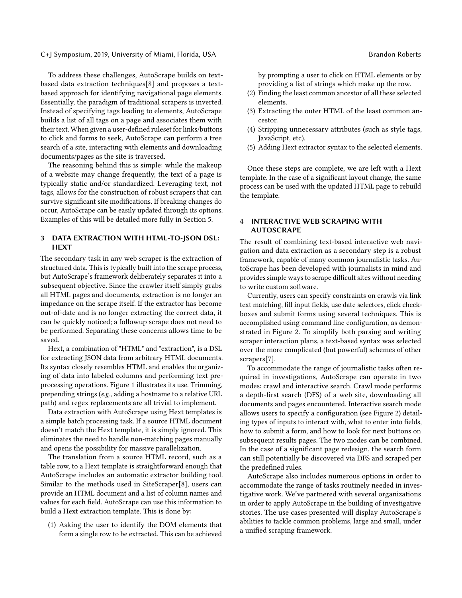C+J Symposium, 2019, University of Miami, Florida, USA Brandon Roberts Brandon Roberts

To address these challenges, AutoScrape builds on textbased data extraction techniques[\[8\]](#page-5-0) and proposes a textbased approach for identifying navigational page elements. Essentially, the paradigm of traditional scrapers is inverted. Instead of specifying tags leading to elements, AutoScrape builds a list of all tags on a page and associates them with their text. When given a user-defined ruleset for links/buttons to click and forms to seek, AutoScrape can perform a tree search of a site, interacting with elements and downloading documents/pages as the site is traversed.

The reasoning behind this is simple: while the makeup of a website may change frequently, the text of a page is typically static and/or standardized. Leveraging text, not tags, allows for the construction of robust scrapers that can survive significant site modifications. If breaking changes do occur, AutoScrape can be easily updated through its options. Examples of this will be detailed more fully in Section [5.](#page-2-0)

### 3 DATA EXTRACTION WITH HTML-TO-JSON DSL: **HEXT**

The secondary task in any web scraper is the extraction of structured data. This is typically built into the scrape process, but AutoScrape's framework deliberately separates it into a subsequent objective. Since the crawler itself simply grabs all HTML pages and documents, extraction is no longer an impedance on the scrape itself. If the extractor has become out-of-date and is no longer extracting the correct data, it can be quickly noticed; a followup scrape does not need to be performed. Separating these concerns allows time to be saved.

Hext, a combination of "HTML" and "extraction", is a DSL for extracting JSON data from arbitrary HTML documents. Its syntax closely resembles HTML and enables the organizing of data into labeled columns and performing text preprocessing operations. Figure [1](#page-2-1) illustrates its use. Trimming, prepending strings (e.g., adding a hostname to a relative URL path) and regex replacements are all trivial to implement.

Data extraction with AutoScrape using Hext templates is a simple batch processing task. If a source HTML document doesn't match the Hext template, it is simply ignored. This eliminates the need to handle non-matching pages manually and opens the possibility for massive parallelization.

The translation from a source HTML record, such as a table row, to a Hext template is straightforward enough that AutoScrape includes an automatic extractor building tool. Similar to the methods used in SiteScraper[\[8\]](#page-5-0), users can provide an HTML document and a list of column names and values for each field. AutoScrape can use this information to build a Hext extraction template. This is done by:

(1) Asking the user to identify the DOM elements that form a single row to be extracted. This can be achieved

by prompting a user to click on HTML elements or by providing a list of strings which make up the row.

- (2) Finding the least common ancestor of all these selected elements.
- (3) Extracting the outer HTML of the least common ancestor.
- (4) Stripping unnecessary attributes (such as style tags, JavaScript, etc).
- (5) Adding Hext extractor syntax to the selected elements.

Once these steps are complete, we are left with a Hext template. In the case of a significant layout change, the same process can be used with the updated HTML page to rebuild the template.

# 4 INTERACTIVE WEB SCRAPING WITH AUTOSCRAPE

The result of combining text-based interactive web navigation and data extraction as a secondary step is a robust framework, capable of many common journalistic tasks. AutoScrape has been developed with journalists in mind and provides simple ways to scrape difficult sites without needing to write custom software.

Currently, users can specify constraints on crawls via link text matching, fill input fields, use date selectors, click checkboxes and submit forms using several techniques. This is accomplished using command line configuration, as demonstrated in Figure [2.](#page-2-2) To simplify both parsing and writing scraper interaction plans, a text-based syntax was selected over the more complicated (but powerful) schemes of other scrapers[\[7\]](#page-5-3).

To accommodate the range of journalistic tasks often required in investigations, AutoScrape can operate in two modes: crawl and interactive search. Crawl mode performs a depth-first search (DFS) of a web site, downloading all documents and pages encountered. Interactive search mode allows users to specify a configuration (see Figure [2\)](#page-2-2) detailing types of inputs to interact with, what to enter into fields, how to submit a form, and how to look for next buttons on subsequent results pages. The two modes can be combined. In the case of a significant page redesign, the search form can still potentially be discovered via DFS and scraped per the predefined rules.

AutoScrape also includes numerous options in order to accommodate the range of tasks routinely needed in investigative work. We've partnered with several organizations in order to apply AutoScrape in the building of investigative stories. The use cases presented will display AutoScrape's abilities to tackle common problems, large and small, under a unified scraping framework.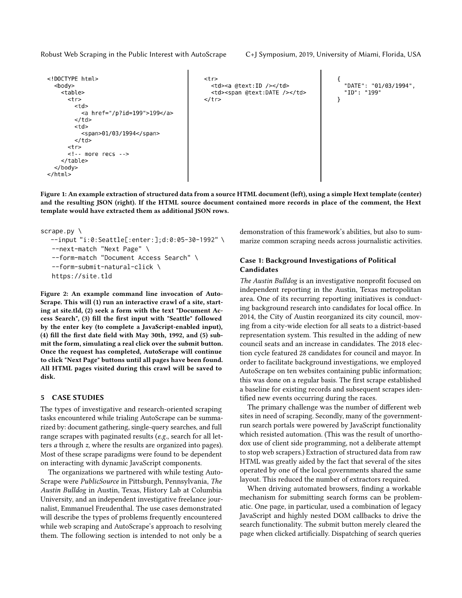Robust Web Scraping in the Public Interest with AutoScrape C+J Symposium, 2019, University of Miami, Florida, USA

```
<!DOCTYPE html>
                                                         <tr>
  <hodv><td><a @text:ID /></td>
    <table>
                                                           <td><span @text:DATE /></td>
       str\langletr>
         <td>
            <a href="/p?id=199">199</a>
         </td>
         <td><span>01/03/1994</span>
         \lt/ t d \gtstr\leq \cdot - more recs \cdot \rightarrow</table>
  </body>
\langle/html>
```
"DATE": "01/03/1994", "ID": "199" ι

Figure 1: An example extraction of structured data from a source HTML document (left), using a simple Hext template (center) and the resulting JSON (right). If the HTML source document contained more records in place of the comment, the Hext template would have extracted them as additional JSON rows.

```
scrape.py \
```

```
--input "i:0:Seattle[:enter:];d:0:05-30-1992" \
--next-match "Next Page" \
--form-match "Document Access Search" \
--form-submit-natural-click \
https://site.tld
```
Figure 2: An example command line invocation of Auto-Scrape. This will (1) run an interactive crawl of a site, starting at site.tld, (2) seek a form with the text "Document Access Search", (3) fill the first input with "Seattle" followed by the enter key (to complete a JavaScript-enabled input), (4) fill the first date field with May 30th, 1992, and (5) submit the form, simulating a real click over the submit button. Once the request has completed, AutoScrape will continue to click "Next Page" buttons until all pages have been found. All HTML pages visited during this crawl will be saved to disk.

### <span id="page-2-0"></span>5 CASE STUDIES

The types of investigative and research-oriented scraping tasks encountered while trialing AutoScrape can be summarized by: document gathering, single-query searches, and full range scrapes with paginated results (e.g., search for all letters a through z, where the results are organized into pages). Most of these scrape paradigms were found to be dependent on interacting with dynamic JavaScript components.

The organizations we partnered with while testing Auto-Scrape were PublicSource in Pittsburgh, Pennsylvania, The Austin Bulldog in Austin, Texas, History Lab at Columbia University, and an independent investigative freelance journalist, Emmanuel Freudenthal. The use cases demonstrated will describe the types of problems frequently encountered while web scraping and AutoScrape's approach to resolving them. The following section is intended to not only be a

demonstration of this framework's abilities, but also to summarize common scraping needs across journalistic activities.

### Case 1: Background Investigations of Political Candidates

The Austin Bulldog is an investigative nonprofit focused on independent reporting in the Austin, Texas metropolitan area. One of its recurring reporting initiatives is conducting background research into candidates for local office. In 2014, the City of Austin reorganized its city council, moving from a city-wide election for all seats to a district-based representation system. This resulted in the adding of new council seats and an increase in candidates. The 2018 election cycle featured 28 candidates for council and mayor. In order to facilitate background investigations, we employed AutoScrape on ten websites containing public information; this was done on a regular basis. The first scrape established a baseline for existing records and subsequent scrapes identified new events occurring during the races.

The primary challenge was the number of different web sites in need of scraping. Secondly, many of the governmentrun search portals were powered by JavaScript functionality which resisted automation. (This was the result of unorthodox use of client side programming, not a deliberate attempt to stop web scrapers.) Extraction of structured data from raw HTML was greatly aided by the fact that several of the sites operated by one of the local governments shared the same layout. This reduced the number of extractors required.

When driving automated browsers, finding a workable mechanism for submitting search forms can be problematic. One page, in particular, used a combination of legacy JavaScript and highly nested DOM callbacks to drive the search functionality. The submit button merely cleared the page when clicked artificially. Dispatching of search queries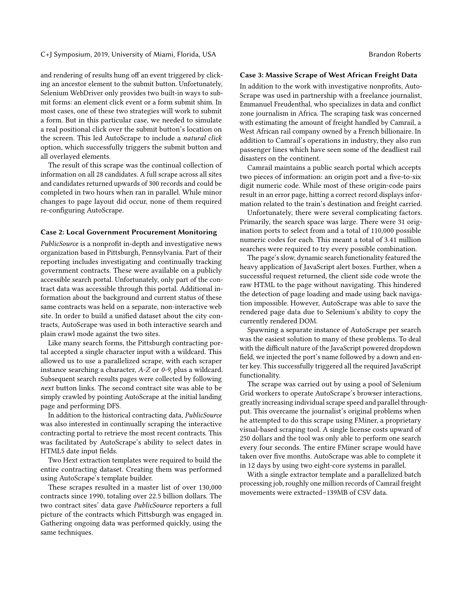C+J Symposium, 2019, University of Miami, Florida, USA Brandon Roberts Brandon Roberts

and rendering of results hung off an event triggered by clicking an ancestor element to the submit button. Unfortunately, Selenium WebDriver only provides two built-in ways to submit forms: an element click event or a form submit shim. In most cases, one of these two strategies will work to submit a form. But in this particular case, we needed to simulate a real positional click over the submit button's location on the screen. This led AutoScrape to include a natural click option, which successfully triggers the submit button and all overlayed elements.

The result of this scrape was the continual collection of information on all 28 candidates. A full scrape across all sites and candidates returned upwards of 300 records and could be completed in two hours when ran in parallel. While minor changes to page layout did occur, none of them required re-configuring AutoScrape.

#### Case 2: Local Government Procurement Monitoring

PublicSource is a nonprofit in-depth and investigative news organization based in Pittsburgh, Pennsylvania. Part of their reporting includes investigating and continually tracking government contracts. These were available on a publicly accessible search portal. Unfortunately, only part of the contract data was accessible through this portal. Additional information about the background and current status of these same contracts was held on a separate, non-interactive web site. In order to build a unified dataset about the city contracts, AutoScrape was used in both interactive search and plain crawl mode against the two sites.

Like many search forms, the Pittsburgh contracting portal accepted a single character input with a wildcard. This allowed us to use a parallelized scrape, with each scraper instance searching a character, A-Z or 0-9, plus a wildcard. Subsequent search results pages were collected by following next button links. The second contract site was able to be simply crawled by pointing AutoScrape at the initial landing page and performing DFS.

In addition to the historical contracting data, PublicSource was also interested in continually scraping the interactive contracting portal to retrieve the most recent contracts. This was facilitated by AutoScrape's ability to select dates in HTML5 date input fields.

Two Hext extraction templates were required to build the entire contracting dataset. Creating them was performed using AutoScrape's template builder.

These scrapes resulted in a master list of over 130,000 contracts since 1990, totaling over 22.5 billion dollars. The two contract sites' data gave PublicSource reporters a full picture of the contracts which Pittsburgh was engaged in. Gathering ongoing data was performed quickly, using the same techniques.

#### Case 3: Massive Scrape of West African Freight Data

In addition to the work with investigative nonprofits, Auto-Scrape was used in partnership with a freelance journalist, Emmanuel Freudenthal, who specializes in data and conflict zone journalism in Africa. The scraping task was concerned with estimating the amount of freight handled by Camrail, a West African rail company owned by a French billionaire. In addition to Camrail's operations in industry, they also run passenger lines which have seen some of the deadliest rail disasters on the continent.

Camrail maintains a public search portal which accepts two pieces of information: an origin port and a five-to-six digit numeric code. While most of these origin-code pairs result in an error page, hitting a correct record displays information related to the train's destination and freight carried.

Unfortunately, there were several complicating factors. Primarily, the search space was large. There were 31 origination ports to select from and a total of 110,000 possible numeric codes for each. This meant a total of 3.41 million searches were required to try every possible combination.

The page's slow, dynamic search functionality featured the heavy application of JavaScript alert boxes. Further, when a successful request returned, the client side code wrote the raw HTML to the page without navigating. This hindered the detection of page loading and made using back navigation impossible. However, AutoScrape was able to save the rendered page data due to Selenium's ability to copy the currently rendered DOM.

Spawning a separate instance of AutoScrape per search was the easiest solution to many of these problems. To deal with the difficult nature of the JavaScript powered dropdown field, we injected the port's name followed by a down and enter key. This successfully triggered all the required JavaScript functionality.

The scrape was carried out by using a pool of Selenium Grid workers to operate AutoScrape's browser interactions, greatly increasing individual scrape speed and parallel throughput. This overcame the journalist's original problems when he attempted to do this scrape using FMiner, a proprietary visual-based scraping tool. A single license costs upward of 250 dollars and the tool was only able to perform one search every four seconds. The entire FMiner scrape would have taken over five months. AutoScrape was able to complete it in 12 days by using two eight-core systems in parallel.

With a single extractor template and a parallelized batch processing job, roughly one million records of Camrail freight movements were extracted–139MB of CSV data.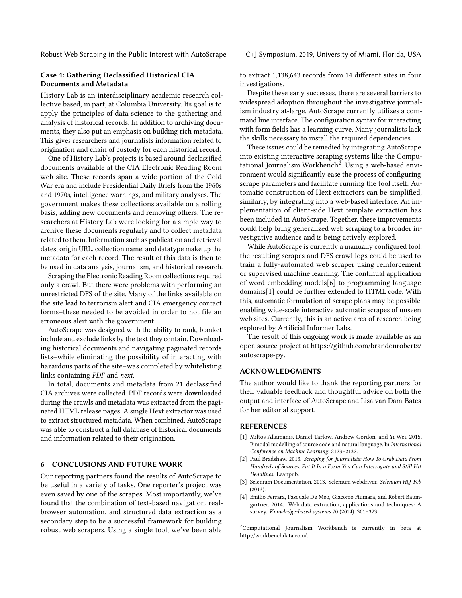#### Case 4: Gathering Declassified Historical CIA Documents and Metadata

History Lab is an interdisciplinary academic research collective based, in part, at Columbia University. Its goal is to apply the principles of data science to the gathering and analysis of historical records. In addition to archiving documents, they also put an emphasis on building rich metadata. This gives researchers and journalists information related to origination and chain of custody for each historical record.

One of History Lab's projects is based around declassified documents available at the CIA Electronic Reading Room web site. These records span a wide portion of the Cold War era and include Presidential Daily Briefs from the 1960s and 1970s, intelligence warnings, and military analyses. The government makes these collections available on a rolling basis, adding new documents and removing others. The researchers at History Lab were looking for a simple way to archive these documents regularly and to collect metadata related to them. Information such as publication and retrieval dates, origin URL, collection name, and datatype make up the metadata for each record. The result of this data is then to be used in data analysis, journalism, and historical research.

Scraping the Electronic Reading Room collections required only a crawl. But there were problems with performing an unrestricted DFS of the site. Many of the links available on the site lead to terrorism alert and CIA emergency contact forms–these needed to be avoided in order to not file an erroneous alert with the government.

AutoScrape was designed with the ability to rank, blanket include and exclude links by the text they contain. Downloading historical documents and navigating paginated records lists–while eliminating the possibility of interacting with hazardous parts of the site–was completed by whitelisting links containing PDF and next.

In total, documents and metadata from 21 declassified CIA archives were collected. PDF records were downloaded during the crawls and metadata was extracted from the paginated HTML release pages. A single Hext extractor was used to extract structured metadata. When combined, AutoScrape was able to construct a full database of historical documents and information related to their origination.

# 6 CONCLUSIONS AND FUTURE WORK

Our reporting partners found the results of AutoScrape to be useful in a variety of tasks. One reporter's project was even saved by one of the scrapes. Most importantly, we've found that the combination of text-based navigation, realbrowser automation, and structured data extraction as a secondary step to be a successful framework for building robust web scrapers. Using a single tool, we've been able

to extract 1,138,643 records from 14 different sites in four investigations.

Despite these early successes, there are several barriers to widespread adoption throughout the investigative journalism industry at-large. AutoScrape currently utilizes a command line interface. The configuration syntax for interacting with form fields has a learning curve. Many journalists lack the skills necessary to install the required dependencies.

These issues could be remedied by integrating AutoScrape into existing interactive scraping systems like the Compu-tational Journalism Workbench<sup>[2](#page-4-3)</sup>. Using a web-based environment would significantly ease the process of configuring scrape parameters and facilitate running the tool itself. Automatic construction of Hext extractors can be simplified, similarly, by integrating into a web-based interface. An implementation of client-side Hext template extraction has been included in AutoScrape. Together, these improvements could help bring generalized web scraping to a broader investigative audience and is being actively explored.

While AutoScrape is currently a manually configured tool, the resulting scrapes and DFS crawl logs could be used to train a fully-automated web scraper using reinforcement or supervised machine learning. The continual application of word embedding models[\[6\]](#page-5-4) to programming language domains[\[1\]](#page-4-4) could be further extended to HTML code. With this, automatic formulation of scrape plans may be possible, enabling wide-scale interactive automatic scrapes of unseen web sites. Currently, this is an active area of research being explored by Artificial Informer Labs.

The result of this ongoing work is made available as an open source project at [https://github.com/brandonrobertz/](https://github.com/brandonrobertz/autoscrape-py) [autoscrape-py.](https://github.com/brandonrobertz/autoscrape-py)

#### ACKNOWLEDGMENTS

The author would like to thank the reporting partners for their valuable feedback and thoughtful advice on both the output and interface of AutoScrape and Lisa van Dam-Bates for her editorial support.

#### REFERENCES

- <span id="page-4-4"></span>[1] Miltos Allamanis, Daniel Tarlow, Andrew Gordon, and Yi Wei. 2015. Bimodal modelling of source code and natural language. In International Conference on Machine Learning. 2123–2132.
- <span id="page-4-0"></span>[2] Paul Bradshaw. 2013. Scraping for Journalists: How To Grab Data From Hundreds of Sources, Put It In a Form You Can Interrogate and Still Hit Deadlines. Leanpub.
- <span id="page-4-2"></span>[3] Selenium Documentation. 2013. Selenium webdriver. Selenium HQ, Feb (2013).
- <span id="page-4-1"></span>[4] Emilio Ferrara, Pasquale De Meo, Giacomo Fiumara, and Robert Baumgartner. 2014. Web data extraction, applications and techniques: A survey. Knowledge-based systems 70 (2014), 301–323.

<span id="page-4-3"></span> $2$ Computational Journalism Workbench is currently in beta at http://workbenchdata.com/.